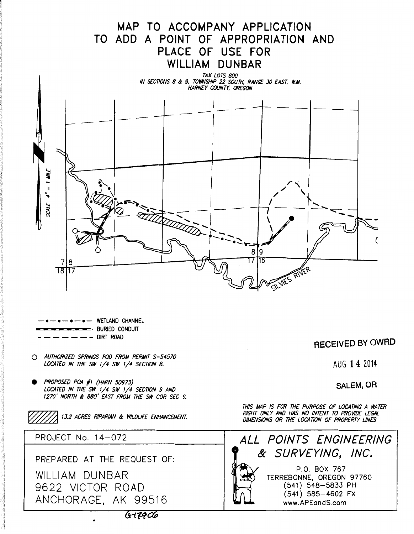

**e** PROPOSED POA /1 {HARN 50973} LOCATED IN THE SW 1/4 SW 1/4 SECTION 9 AND 1270' NORTH & 880' EAST FROM THE SW COR SEC 9.

13.2 ACRES RIPARIAN & WILDLIFE ENHANCEMENT.

PROJECT No. 14-072

PREPARED AT THE REQUEST OF:

WILLIAM DUNBAR 9622 VICTOR ROAD ANCHORAGE, AK 99516

•

**RECEIVED BY OWRD** 

**SALEM, OR** 

THIS MAP IS FOR THE PURPOSE OF LOCATING A WATER RIGHT ONLY AND HAS NO INTENT TO PROVIDE LEGAL DIMENSIONS OR THE LOCATION OF PROPERTY LINES



 $6 - 7906$